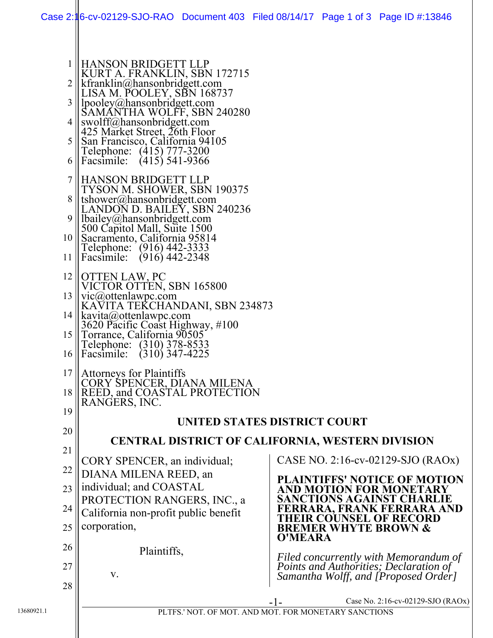| 2<br>3<br>4<br>5<br>6<br>7<br>9<br>11<br>12 | HANSON BRIDGETT LLP<br>KURT A. FRANKLIN, SBN 172715<br>$\mathbf{R}$ kfranklin@hansonbridgett.com<br>LISA M. POOLEY, SBN 168737<br>$\parallel$ lpooley@hansonbridgett.com<br>SAMANTHA WOLFF, SBN 240280<br>swolff@hansonbridgett.com<br>425 Market Street, 26th Floor<br>San Francisco, California 94105<br>Telephone: (415) 777-3200<br>Facsimile: $(415)$ 541-9366<br>  HANSON BRIDGETT LLP<br><b>TYSON M. SHOWER, SBN 190375</b><br>8    tshower@hansonbridgett.com<br>LANDON D. BAILEY, SBN 240236<br>bailey@hansonbridgett.com<br>500 Capitol Mall, Suite 1500<br>10 Sacramento, California 95814<br>Telephone: (916) 442-3333<br>$\text{Facsimile:}$ (916) 442-2348<br>   OTTEN LAW, PC<br>VICTOR OTTEN, SBN 165800<br>13    vic@ottenlawpc.com<br>KAVITA TEKCHANDANI, SBN 234873<br>14   kavita@ottenlawpc.com |                                                                                                                         |  |  |
|---------------------------------------------|----------------------------------------------------------------------------------------------------------------------------------------------------------------------------------------------------------------------------------------------------------------------------------------------------------------------------------------------------------------------------------------------------------------------------------------------------------------------------------------------------------------------------------------------------------------------------------------------------------------------------------------------------------------------------------------------------------------------------------------------------------------------------------------------------------------------|-------------------------------------------------------------------------------------------------------------------------|--|--|
|                                             | 3620 Pacific Coast Highway, #100<br>15    Torrance, California 90505<br>Telephone: (310) 378-8533<br>16    Facsimile: (310) 347-4225                                                                                                                                                                                                                                                                                                                                                                                                                                                                                                                                                                                                                                                                                 |                                                                                                                         |  |  |
| 19                                          | $17$   Attorneys for Plaintiffs<br>CORY SPENCER, DIANA MILENA<br>18    REED, and COASTAL PROTECTION<br> RANGERS, INC.                                                                                                                                                                                                                                                                                                                                                                                                                                                                                                                                                                                                                                                                                                |                                                                                                                         |  |  |
|                                             | <b>UNITED STATES DISTRICT COURT</b>                                                                                                                                                                                                                                                                                                                                                                                                                                                                                                                                                                                                                                                                                                                                                                                  |                                                                                                                         |  |  |
| 20                                          | <b>CENTRAL DISTRICT OF CALIFORNIA, WESTERN DIVISION</b>                                                                                                                                                                                                                                                                                                                                                                                                                                                                                                                                                                                                                                                                                                                                                              |                                                                                                                         |  |  |
| 21                                          | CORY SPENCER, an individual;                                                                                                                                                                                                                                                                                                                                                                                                                                                                                                                                                                                                                                                                                                                                                                                         | CASE NO. 2:16-cv-02129-SJO (RAOx)                                                                                       |  |  |
| 22                                          | DIANA MILENA REED, an                                                                                                                                                                                                                                                                                                                                                                                                                                                                                                                                                                                                                                                                                                                                                                                                | <b>PLAINTIFFS' NOTICE OF MOTION</b>                                                                                     |  |  |
| 23                                          | individual; and COASTAL<br>PROTECTION RANGERS, INC., a                                                                                                                                                                                                                                                                                                                                                                                                                                                                                                                                                                                                                                                                                                                                                               | AND MOTION FOR MONETARY<br>SANCTIONS AGAINST CHARLIE                                                                    |  |  |
| 24<br>25                                    | California non-profit public benefit<br>corporation,                                                                                                                                                                                                                                                                                                                                                                                                                                                                                                                                                                                                                                                                                                                                                                 | RRARA. FRANK FERRARA AND<br><b>EIR COUNSEL OF RECORD</b><br><b>BREMER WHYTE BROWN &amp;</b>                             |  |  |
| 26                                          |                                                                                                                                                                                                                                                                                                                                                                                                                                                                                                                                                                                                                                                                                                                                                                                                                      | <b>O'MEARA</b>                                                                                                          |  |  |
| 27                                          | Plaintiffs,                                                                                                                                                                                                                                                                                                                                                                                                                                                                                                                                                                                                                                                                                                                                                                                                          |                                                                                                                         |  |  |
| 28                                          | V.                                                                                                                                                                                                                                                                                                                                                                                                                                                                                                                                                                                                                                                                                                                                                                                                                   | Filed concurrently with Memorandum of<br>Points and Authorities; Declaration of<br>Samantha Wolff, and [Proposed Order] |  |  |
| 13680921.1                                  |                                                                                                                                                                                                                                                                                                                                                                                                                                                                                                                                                                                                                                                                                                                                                                                                                      | Case No. 2:16-cv-02129-SJO (RAOx)<br>PLTFS.' NOT. OF MOT. AND MOT. FOR MONETARY SANCTIONS                               |  |  |
|                                             |                                                                                                                                                                                                                                                                                                                                                                                                                                                                                                                                                                                                                                                                                                                                                                                                                      |                                                                                                                         |  |  |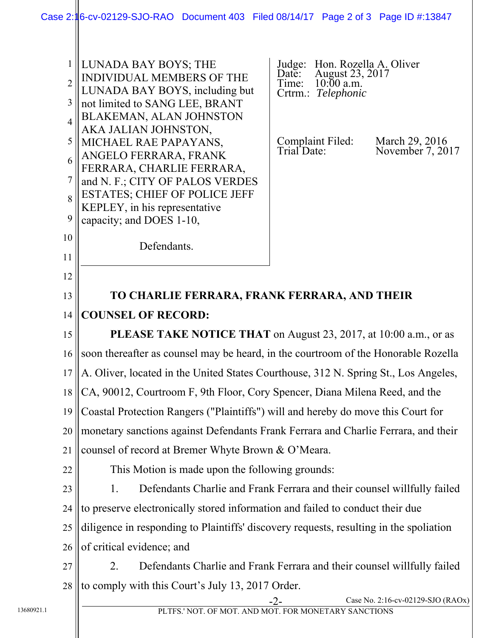|            | $\mathbf{1}$<br>$\overline{2}$<br>3<br>$\overline{4}$ | LUNADA BAY BOYS; THE<br>INDIVIDUAL MEMBERS OF THE<br>LUNADA BAY BOYS, including but<br>not limited to SANG LEE, BRANT<br>BLAKEMAN, ALAN JOHNSTON | Judge: Hon. Rozella A. Oliver<br>Date: August 23, 2017<br>Time: 10:00 a.m.<br>Crtrm.: Telephonic |                                    |  |
|------------|-------------------------------------------------------|--------------------------------------------------------------------------------------------------------------------------------------------------|--------------------------------------------------------------------------------------------------|------------------------------------|--|
|            | 5                                                     | AKA JALIAN JOHNSTON,<br>MICHAEL RAE PAPAYANS,                                                                                                    | Complaint Filed:<br>Trial Date:                                                                  | March 29, 2016<br>November 7, 2017 |  |
|            | 6                                                     | ANGELO FERRARA, FRANK<br>FERRARA, CHARLIE FERRARA,                                                                                               |                                                                                                  |                                    |  |
|            | $\overline{7}$                                        | and N. F.; CITY OF PALOS VERDES                                                                                                                  |                                                                                                  |                                    |  |
|            | 8                                                     | <b>ESTATES; CHIEF OF POLICE JEFF</b><br>KEPLEY, in his representative                                                                            |                                                                                                  |                                    |  |
|            | 9                                                     | capacity; and DOES 1-10,                                                                                                                         |                                                                                                  |                                    |  |
|            | 10                                                    | Defendants.                                                                                                                                      |                                                                                                  |                                    |  |
|            | 11                                                    |                                                                                                                                                  |                                                                                                  |                                    |  |
|            | 12                                                    |                                                                                                                                                  |                                                                                                  |                                    |  |
|            | 13                                                    | TO CHARLIE FERRARA, FRANK FERRARA, AND THEIR                                                                                                     |                                                                                                  |                                    |  |
|            | 14                                                    | <b>COUNSEL OF RECORD:</b>                                                                                                                        |                                                                                                  |                                    |  |
|            | 15                                                    | PLEASE TAKE NOTICE THAT on August 23, 2017, at 10:00 a.m., or as                                                                                 |                                                                                                  |                                    |  |
|            | 16                                                    | soon thereafter as counsel may be heard, in the courtroom of the Honorable Rozella                                                               |                                                                                                  |                                    |  |
|            | 17                                                    | A. Oliver, located in the United States Courthouse, 312 N. Spring St., Los Angeles,                                                              |                                                                                                  |                                    |  |
|            | 18                                                    | CA, 90012, Courtroom F, 9th Floor, Cory Spencer, Diana Milena Reed, and the                                                                      |                                                                                                  |                                    |  |
|            |                                                       | 19 Coastal Protection Rangers ("Plaintiffs") will and hereby do move this Court for                                                              |                                                                                                  |                                    |  |
|            | 20                                                    | monetary sanctions against Defendants Frank Ferrara and Charlie Ferrara, and their                                                               |                                                                                                  |                                    |  |
|            | 21                                                    | counsel of record at Bremer Whyte Brown & O'Meara.                                                                                               |                                                                                                  |                                    |  |
|            | 22                                                    | This Motion is made upon the following grounds:                                                                                                  |                                                                                                  |                                    |  |
|            | 23                                                    | Defendants Charlie and Frank Ferrara and their counsel willfully failed<br>1.                                                                    |                                                                                                  |                                    |  |
|            | 24                                                    | to preserve electronically stored information and failed to conduct their due                                                                    |                                                                                                  |                                    |  |
|            | 25                                                    | diligence in responding to Plaintiffs' discovery requests, resulting in the spoliation                                                           |                                                                                                  |                                    |  |
|            | 26                                                    | of critical evidence; and                                                                                                                        |                                                                                                  |                                    |  |
|            | 27<br>2.                                              | Defendants Charlie and Frank Ferrara and their counsel willfully failed                                                                          |                                                                                                  |                                    |  |
|            | 28                                                    | to comply with this Court's July 13, 2017 Order.                                                                                                 |                                                                                                  |                                    |  |
| 13680921.1 |                                                       | PLTFS.' NOT. OF MOT. AND MOT. FOR MONETARY SANCTIONS                                                                                             | $-2-$                                                                                            | Case No. 2:16-cv-02129-SJO (RAOx)  |  |
|            |                                                       |                                                                                                                                                  |                                                                                                  |                                    |  |